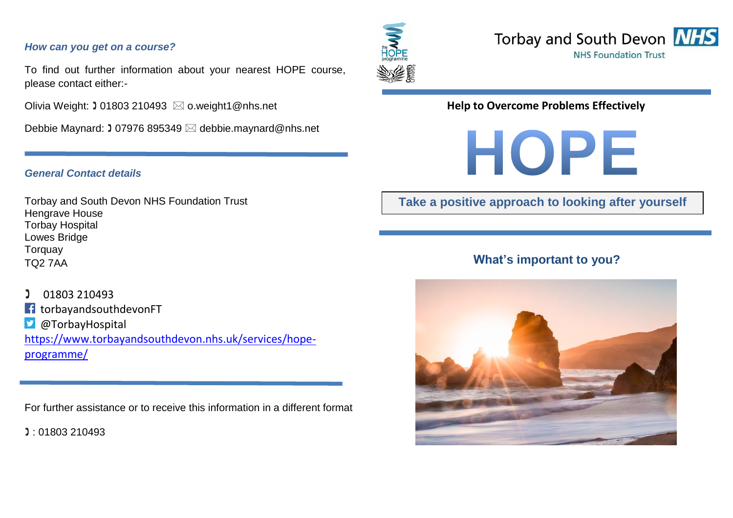#### *How can you get on a course?*

To find out further information about your nearest HOPE course, please contact either:-

Olivia Weight:  $\sqrt{0.01803}$  210493  $\bowtie$  o.weight1@nhs.net

Debbie Maynard: 1 07976 895349 ⊠ debbie.maynard@nhs.net

#### *General Contact details*

Torbay and South Devon NHS Foundation Trust Hengrave House Torbay Hospital Lowes Bridge **Torquay** TQ2 7AA

 01803 210493 torbayandsouthdevonFT H @TorbayHospital  $|\mathbf{y}|$ [https://www.torbayandsouthdevon.nhs.uk/services/hope](https://www.torbayandsouthdevon.nhs.uk/services/hope-programme/)[programme/](https://www.torbayandsouthdevon.nhs.uk/services/hope-programme/)

For further assistance or to receive this information in a different format

: 01803 210493





### **Help to Overcome Problems Effectively**



# **Take a positive approach to looking after yourself**

# **What's important to you?**